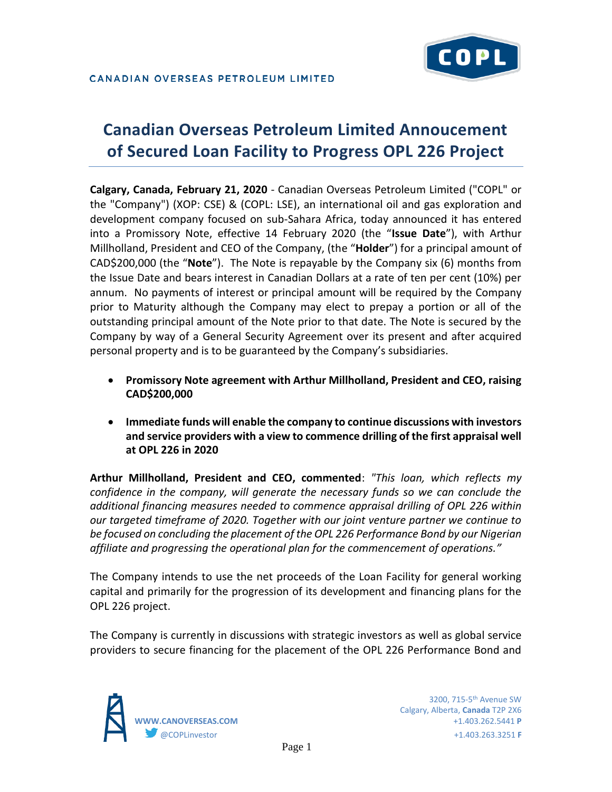

# **Canadian Overseas Petroleum Limited Annoucement of Secured Loan Facility to Progress OPL 226 Project**

**Calgary, Canada, February 21, 2020** - Canadian Overseas Petroleum Limited ("COPL" or the "Company") (XOP: CSE) & (COPL: LSE), an international oil and gas exploration and development company focused on sub-Sahara Africa, today announced it has entered into a Promissory Note, effective 14 February 2020 (the "**Issue Date**"), with Arthur Millholland, President and CEO of the Company, (the "**Holder**") for a principal amount of CAD\$200,000 (the "**Note**"). The Note is repayable by the Company six (6) months from the Issue Date and bears interest in Canadian Dollars at a rate of ten per cent (10%) per annum. No payments of interest or principal amount will be required by the Company prior to Maturity although the Company may elect to prepay a portion or all of the outstanding principal amount of the Note prior to that date. The Note is secured by the Company by way of a General Security Agreement over its present and after acquired personal property and is to be guaranteed by the Company's subsidiaries.

- **Promissory Note agreement with Arthur Millholland, President and CEO, raising CAD\$200,000**
- **Immediate funds will enable the company to continue discussions with investors and service providers with a view to commence drilling of the first appraisal well at OPL 226 in 2020**

**Arthur Millholland, President and CEO, commented**: *"This loan, which reflects my confidence in the company, will generate the necessary funds so we can conclude the additional financing measures needed to commence appraisal drilling of OPL 226 within our targeted timeframe of 2020. Together with our joint venture partner we continue to be focused on concluding the placement of the OPL 226 Performance Bond by our Nigerian affiliate and progressing the operational plan for the commencement of operations."*

The Company intends to use the net proceeds of the Loan Facility for general working capital and primarily for the progression of its development and financing plans for the OPL 226 project.

The Company is currently in discussions with strategic investors as well as global service providers to secure financing for the placement of the OPL 226 Performance Bond and

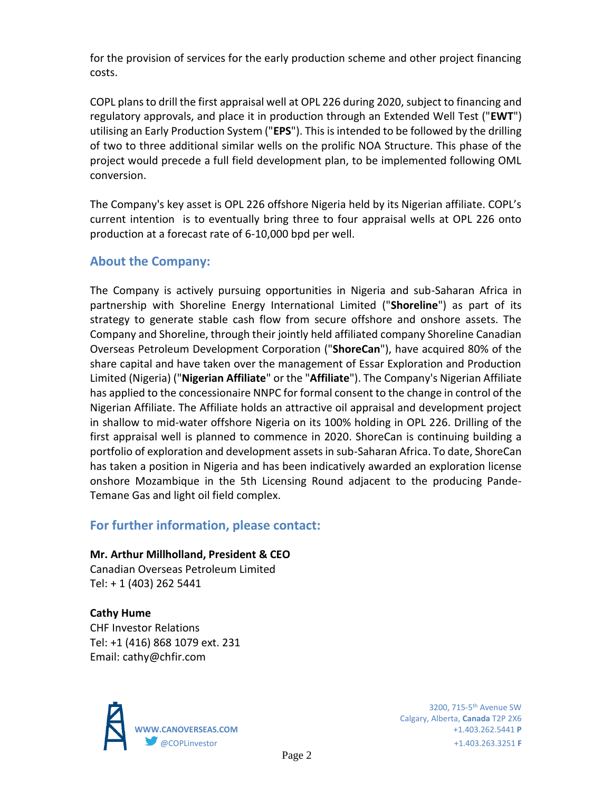for the provision of services for the early production scheme and other project financing costs.

COPL plans to drill the first appraisal well at OPL 226 during 2020, subject to financing and regulatory approvals, and place it in production through an Extended Well Test ("**EWT**") utilising an Early Production System ("**EPS**"). This is intended to be followed by the drilling of two to three additional similar wells on the prolific NOA Structure. This phase of the project would precede a full field development plan, to be implemented following OML conversion.

The Company's key asset is OPL 226 offshore Nigeria held by its Nigerian affiliate. COPL's current intention is to eventually bring three to four appraisal wells at OPL 226 onto production at a forecast rate of 6-10,000 bpd per well.

## **About the Company:**

The Company is actively pursuing opportunities in Nigeria and sub-Saharan Africa in partnership with Shoreline Energy International Limited ("**Shoreline**") as part of its strategy to generate stable cash flow from secure offshore and onshore assets. The Company and Shoreline, through their jointly held affiliated company Shoreline Canadian Overseas Petroleum Development Corporation ("**ShoreCan**"), have acquired 80% of the share capital and have taken over the management of Essar Exploration and Production Limited (Nigeria) ("**Nigerian Affiliate**" or the "**Affiliate**"). The Company's Nigerian Affiliate has applied to the concessionaire NNPC for formal consent to the change in control of the Nigerian Affiliate. The Affiliate holds an attractive oil appraisal and development project in shallow to mid-water offshore Nigeria on its 100% holding in OPL 226. Drilling of the first appraisal well is planned to commence in 2020. ShoreCan is continuing building a portfolio of exploration and development assets in sub-Saharan Africa. To date, ShoreCan has taken a position in Nigeria and has been indicatively awarded an exploration license onshore Mozambique in the 5th Licensing Round adjacent to the producing Pande-Temane Gas and light oil field complex.

## **For further information, please contact:**

#### **Mr. Arthur Millholland, President & CEO**

Canadian Overseas Petroleum Limited Tel: + 1 (403) 262 5441

**Cathy Hume** CHF Investor Relations Tel: +1 (416) 868 1079 ext. 231 Email: cathy@chfir.com



Calgary, Alberta, **Canada** T2P 2X6 **WWW.CANOVERSEAS.COM** +1.403.262.5441 **P** @COPLinvestor +1.403.263.3251 **F**